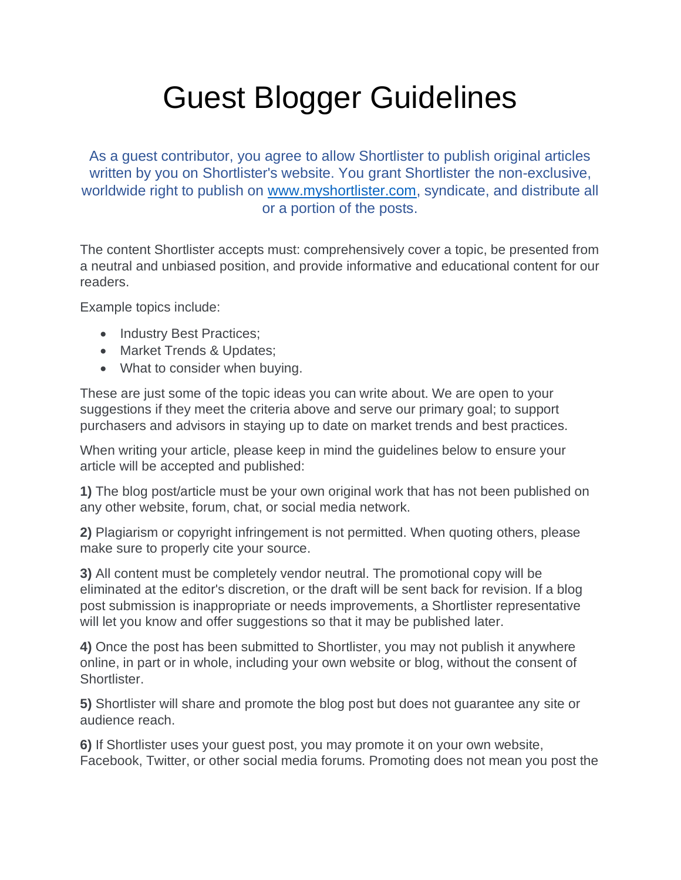## Guest Blogger Guidelines

As a guest contributor, you agree to allow Shortlister to publish original articles written by you on Shortlister's website. You grant Shortlister the non-exclusive, worldwide right to publish on www.myshortlister.com, syndicate, and distribute all or a portion of the posts.

The content Shortlister accepts must: comprehensively cover a topic, be presented from a neutral and unbiased position, and provide informative and educational content for our readers.

Example topics include:

- Industry Best Practices;
- Market Trends & Updates;
- What to consider when buying.

These are just some of the topic ideas you can write about. We are open to your suggestions if they meet the criteria above and serve our primary goal; to support purchasers and advisors in staying up to date on market trends and best practices.

When writing your article, please keep in mind the guidelines below to ensure your article will be accepted and published:

**1)** The blog post/article must be your own original work that has not been published on any other website, forum, chat, or social media network.

**2)** Plagiarism or copyright infringement is not permitted. When quoting others, please make sure to properly cite your source.

**3)** All content must be completely vendor neutral. The promotional copy will be eliminated at the editor's discretion, or the draft will be sent back for revision. If a blog post submission is inappropriate or needs improvements, a Shortlister representative will let you know and offer suggestions so that it may be published later.

**4)** Once the post has been submitted to Shortlister, you may not publish it anywhere online, in part or in whole, including your own website or blog, without the consent of Shortlister.

**5)** Shortlister will share and promote the blog post but does not guarantee any site or audience reach.

**6)** If Shortlister uses your guest post, you may promote it on your own website, Facebook, Twitter, or other social media forums. Promoting does not mean you post the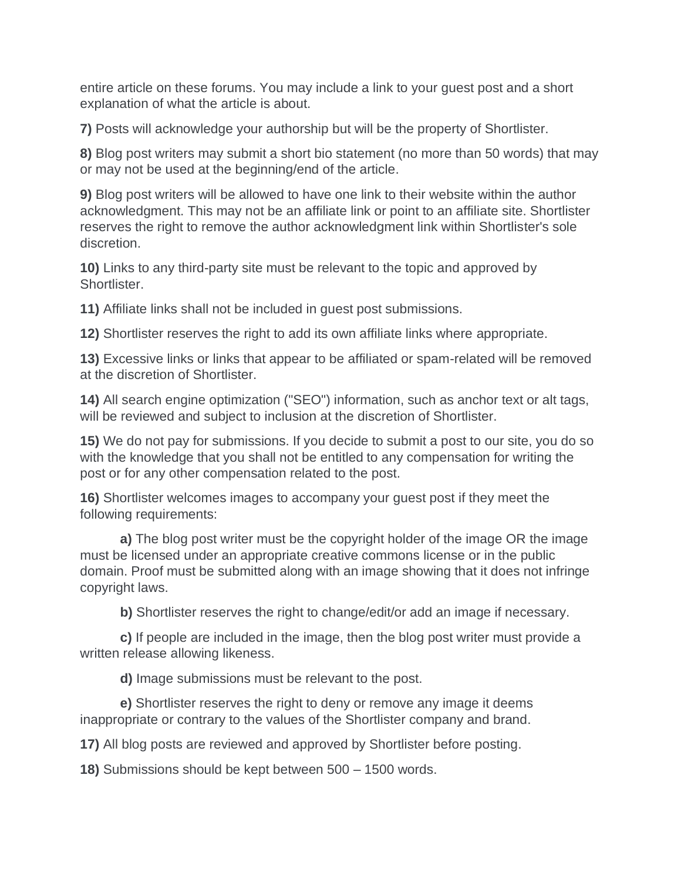entire article on these forums. You may include a link to your guest post and a short explanation of what the article is about.

**7)** Posts will acknowledge your authorship but will be the property of Shortlister.

**8)** Blog post writers may submit a short bio statement (no more than 50 words) that may or may not be used at the beginning/end of the article.

**9)** Blog post writers will be allowed to have one link to their website within the author acknowledgment. This may not be an affiliate link or point to an affiliate site. Shortlister reserves the right to remove the author acknowledgment link within Shortlister's sole discretion.

**10)** Links to any third-party site must be relevant to the topic and approved by Shortlister.

**11)** Affiliate links shall not be included in guest post submissions.

**12)** Shortlister reserves the right to add its own affiliate links where appropriate.

**13)** Excessive links or links that appear to be affiliated or spam-related will be removed at the discretion of Shortlister.

**14)** All search engine optimization ("SEO") information, such as anchor text or alt tags, will be reviewed and subject to inclusion at the discretion of Shortlister.

**15)** We do not pay for submissions. If you decide to submit a post to our site, you do so with the knowledge that you shall not be entitled to any compensation for writing the post or for any other compensation related to the post.

**16)** Shortlister welcomes images to accompany your guest post if they meet the following requirements:

**a)** The blog post writer must be the copyright holder of the image OR the image must be licensed under an appropriate creative commons license or in the public domain. Proof must be submitted along with an image showing that it does not infringe copyright laws.

**b)** Shortlister reserves the right to change/edit/or add an image if necessary.

**c)** If people are included in the image, then the blog post writer must provide a written release allowing likeness.

**d)** Image submissions must be relevant to the post.

**e)** Shortlister reserves the right to deny or remove any image it deems inappropriate or contrary to the values of the Shortlister company and brand.

**17)** All blog posts are reviewed and approved by Shortlister before posting.

**18)** Submissions should be kept between 500 – 1500 words.